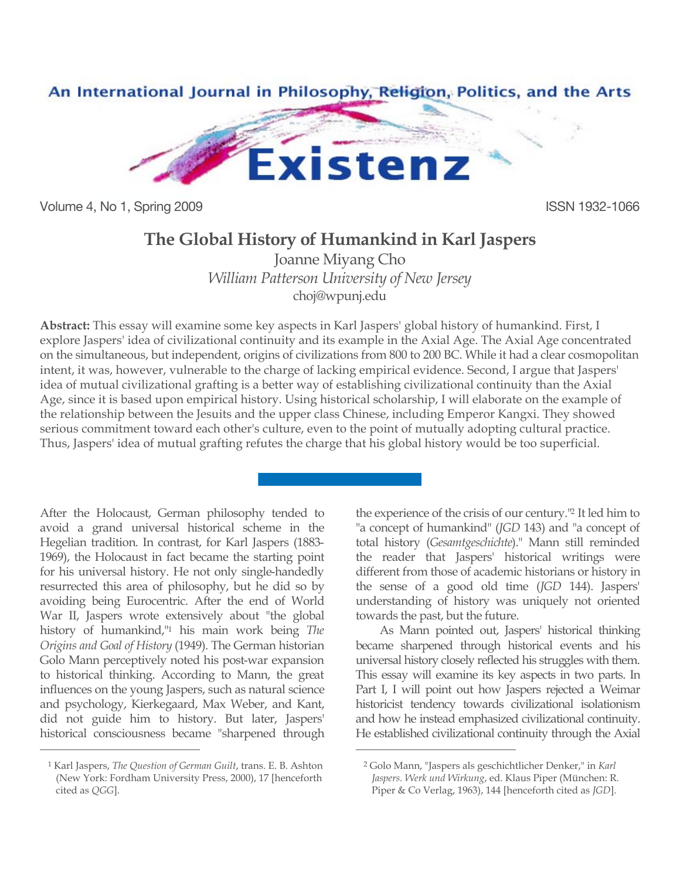

Volume 4, No 1, Spring 2009 **ISSN 1932-1066** 

## **The Global History of Humankind in Karl Jaspers**

Joanne Miyang Cho *William Patterson University of New Jersey* [choj@wpunj.edu](mailto:choj@wpunj.edu)

**Abstract:** This essay will examine some key aspects in Karl Jaspers' global history of humankind. First, I explore Jaspers' idea of civilizational continuity and its example in the Axial Age. The Axial Age concentrated on the simultaneous, but independent, origins of civilizations from 800 to 200 BC. While it had a clear cosmopolitan intent, it was, however, vulnerable to the charge of lacking empirical evidence. Second, I argue that Jaspers' idea of mutual civilizational grafting is a better way of establishing civilizational continuity than the Axial Age, since it is based upon empirical history. Using historical scholarship, I will elaborate on the example of the relationship between the Jesuits and the upper class Chinese, including Emperor Kangxi. They showed serious commitment toward each other's culture, even to the point of mutually adopting cultural practice. Thus, Jaspers' idea of mutual grafting refutes the charge that his global history would be too superficial.

 $\overline{a}$ 

After the Holocaust, German philosophy tended to avoid a grand universal historical scheme in the Hegelian tradition. In contrast, for Karl Jaspers (1883- 1969), the Holocaust in fact became the starting point for his universal history. He not only single-handedly resurrected this area of philosophy, but he did so by avoiding being Eurocentric. After the end of World War II, Jaspers wrote extensively about "the global history of humankind,"1 his main work being *The Origins and Goal of History* (1949). The German historian Golo Mann perceptively noted his post-war expansion to historical thinking. According to Mann, the great influences on the young Jaspers, such as natural science and psychology, Kierkegaard, Max Weber, and Kant, did not guide him to history. But later, Jaspers' historical consciousness became "sharpened through

 $\overline{a}$ 

the experience of the crisis of our century."2 It led him to "a concept of humankind" (*JGD* 143) and "a concept of total history (*Gesamtgeschichte*)." Mann still reminded the reader that Jaspers' historical writings were different from those of academic historians or history in the sense of a good old time (*JGD* 144). Jaspers' understanding of history was uniquely not oriented towards the past, but the future.

As Mann pointed out, Jaspers' historical thinking became sharpened through historical events and his universal history closely reflected his struggles with them. This essay will examine its key aspects in two parts. In Part I, I will point out how Jaspers rejected a Weimar historicist tendency towards civilizational isolationism and how he instead emphasized civilizational continuity. He established civilizational continuity through the Axial

<sup>1</sup> Karl Jaspers, *The Question of German Guilt*, trans. E. B. Ashton (New York: Fordham University Press, 2000), 17 [henceforth cited as *QGG*].

<sup>2</sup> Golo Mann, "Jaspers als geschichtlicher Denker," in *Karl Jaspers. Werk und Wirkung*, ed. Klaus Piper (München: R. Piper & Co Verlag, 1963), 144 [henceforth cited as *JGD*].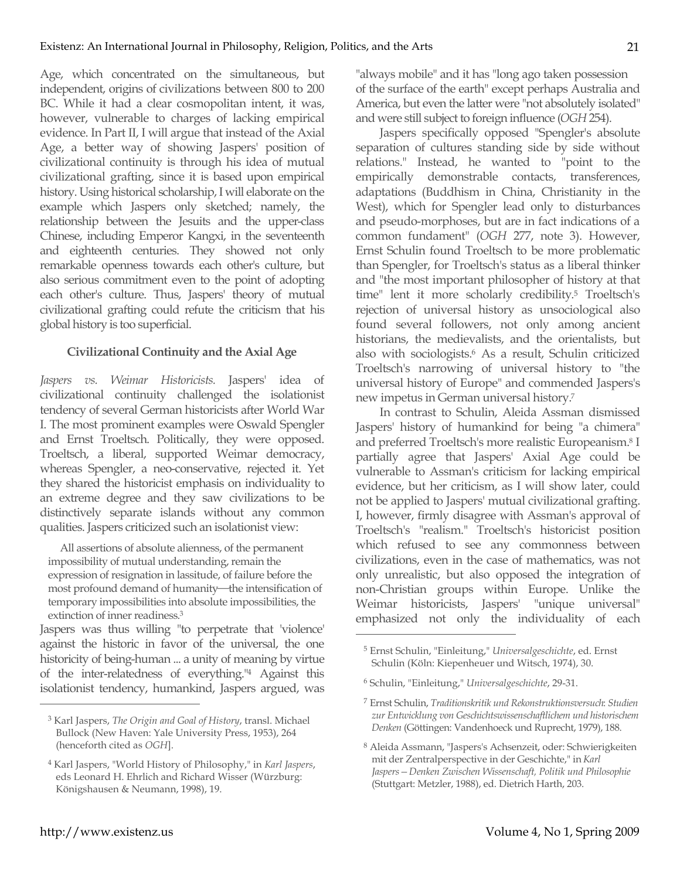Age, which concentrated on the simultaneous, but independent, origins of civilizations between 800 to 200 BC. While it had a clear cosmopolitan intent, it was, however, vulnerable to charges of lacking empirical evidence. In Part II, I will argue that instead of the Axial Age, a better way of showing Jaspers' position of civilizational continuity is through his idea of mutual civilizational grafting, since it is based upon empirical history. Using historical scholarship, I will elaborate on the example which Jaspers only sketched; namely, the relationship between the Jesuits and the upper-class Chinese, including Emperor Kangxi, in the seventeenth and eighteenth centuries. They showed not only remarkable openness towards each other's culture, but also serious commitment even to the point of adopting each other's culture. Thus, Jaspers' theory of mutual civilizational grafting could refute the criticism that his global history is too superficial.

## **Civilizational Continuity and the Axial Age**

*Jaspers vs. Weimar Historicists.* Jaspers' idea of civilizational continuity challenged the isolationist tendency of several German historicists after World War I. The most prominent examples were Oswald Spengler and Ernst Troeltsch. Politically, they were opposed. Troeltsch, a liberal, supported Weimar democracy, whereas Spengler, a neo-conservative, rejected it. Yet they shared the historicist emphasis on individuality to an extreme degree and they saw civilizations to be distinctively separate islands without any common qualities. Jaspers criticized such an isolationist view:

All assertions of absolute alienness, of the permanent impossibility of mutual understanding, remain the expression of resignation in lassitude, of failure before the most profound demand of humanity-the intensification of temporary impossibilities into absolute impossibilities, the extinction of inner readiness. 3

Jaspers was thus willing "to perpetrate that 'violence' against the historic in favor of the universal, the one historicity of being-human ... a unity of meaning by virtue of the inter-relatedness of everything."4 Against this isolationist tendency, humankind, Jaspers argued, was "always mobile" and it has "long ago taken possession of the surface of the earth" except perhaps Australia and America, but even the latter were "not absolutely isolated" and were still subject to foreign influence (*OGH* 254).

Jaspers specifically opposed "Spengler's absolute separation of cultures standing side by side without relations." Instead, he wanted to "point to the empirically demonstrable contacts, transferences, adaptations (Buddhism in China, Christianity in the West), which for Spengler lead only to disturbances and pseudo-morphoses, but are in fact indications of a common fundament" (*OGH* 277, note 3). However, Ernst Schulin found Troeltsch to be more problematic than Spengler, for Troeltsch's status as a liberal thinker and "the most important philosopher of history at that time" lent it more scholarly credibility. <sup>5</sup> Troeltsch's rejection of universal history as unsociological also found several followers, not only among ancient historians, the medievalists, and the orientalists, but also with sociologists.6 As a result, Schulin criticized Troeltsch's narrowing of universal history to "the universal history of Europe" and commended Jaspers's new impetus in German universal history.7

In contrast to Schulin, Aleida Assman dismissed Jaspers' history of humankind for being "a chimera" and preferred Troeltsch's more realistic Europeanism.8 I partially agree that Jaspers' Axial Age could be vulnerable to Assman's criticism for lacking empirical evidence, but her criticism, as I will show later, could not be applied to Jaspers' mutual civilizational grafting. I, however, firmly disagree with Assman's approval of Troeltsch's "realism." Troeltsch's historicist position which refused to see any commonness between civilizations, even in the case of mathematics, was not only unrealistic, but also opposed the integration of non-Christian groups within Europe. Unlike the Weimar historicists, Jaspers' "unique universal" emphasized not only the individuality of each

 $\overline{a}$ 

<sup>3</sup> Karl Jaspers, *The Origin and Goal of History*, transl. Michael Bullock (New Haven: Yale University Press, 1953), 264 (henceforth cited as *OGH*].

<sup>4</sup> Karl Jaspers, "World History of Philosophy," in *Karl Jaspers*, eds Leonard H. Ehrlich and Richard Wisser (Würzburg: Königshausen & Neumann, 1998), 19.

<sup>5</sup> Ernst Schulin, "Einleitung," *Universalgeschichte*, ed. Ernst Schulin (Köln: Kiepenheuer und Witsch, 1974), 30.

<sup>6</sup> Schulin, "Einleitung," *Universalgeschichte*, 29-31.

<sup>7</sup> Ernst Schulin, *Traditionskritik und Rekonstruktionsversuch*: *Studien zur Entwicklung von Geschichtswissenschaftlichem und historischem Denken* (Göttingen: Vandenhoeck und Ruprecht, 1979), 188.

<sup>8</sup> Aleida Assmann, "Jaspers's Achsenzeit, oder: Schwierigkeiten mit der Zentralperspective in der Geschichte," in *Karl Jaspers—Denken Zwischen Wissenschaft, Politik und Philosophie* (Stuttgart: Metzler, 1988), ed. Dietrich Harth, 203.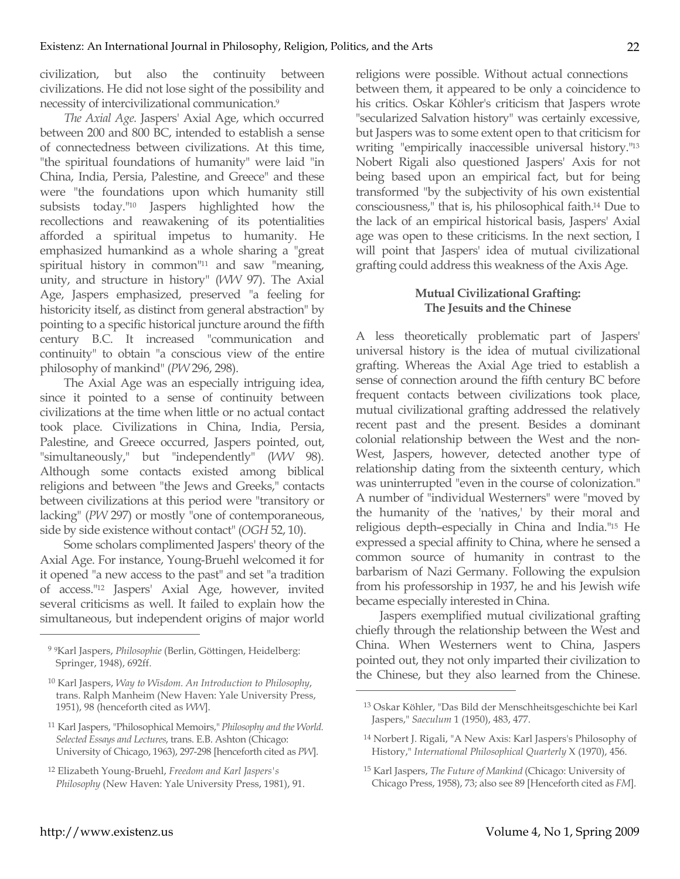civilization, but also the continuity between civilizations. He did not lose sight of the possibility and necessity of intercivilizational communication.9

*The Axial Age.* Jaspers' Axial Age, which occurred between 200 and 800 BC, intended to establish a sense of connectedness between civilizations. At this time, "the spiritual foundations of humanity" were laid "in China, India, Persia, Palestine, and Greece" and these were "the foundations upon which humanity still subsists today."10 Jaspers highlighted how the recollections and reawakening of its potentialities afforded a spiritual impetus to humanity. He emphasized humankind as a whole sharing a "great spiritual history in common<sup>"11</sup> and saw "meaning, unity, and structure in history" (*WW* 97). The Axial Age, Jaspers emphasized, preserved "a feeling for historicity itself, as distinct from general abstraction" by pointing to a specific historical juncture around the fifth century B.C. It increased "communication and continuity" to obtain "a conscious view of the entire philosophy of mankind" (*PW* 296, 298).

The Axial Age was an especially intriguing idea, since it pointed to a sense of continuity between civilizations at the time when little or no actual contact took place. Civilizations in China, India, Persia, Palestine, and Greece occurred, Jaspers pointed, out, "simultaneously," but "independently" (*WW* 98). Although some contacts existed among biblical religions and between "the Jews and Greeks," contacts between civilizations at this period were "transitory or lacking" (*PW* 297) or mostly "one of contemporaneous, side by side existence without contact" (*OGH* 52, 10).

Some scholars complimented Jaspers' theory of the Axial Age. For instance, Young-Bruehl welcomed it for it opened "a new access to the past" and set "a tradition of access."12 Jaspers' Axial Age, however, invited several criticisms as well. It failed to explain how the simultaneous, but independent origins of major world religions were possible. Without actual connections between them, it appeared to be only a coincidence to his critics. Oskar Köhler's criticism that Jaspers wrote "secularized Salvation history" was certainly excessive, but Jaspers was to some extent open to that criticism for writing "empirically inaccessible universal history."13 Nobert Rigali also questioned Jaspers' Axis for not being based upon an empirical fact, but for being transformed "by the subjectivity of his own existential consciousness," that is, his philosophical faith.14 Due to the lack of an empirical historical basis, Jaspers' Axial age was open to these criticisms. In the next section, I will point that Jaspers' idea of mutual civilizational grafting could address this weakness of the Axis Age.

## **Mutual Civilizational Grafting: The Jesuits and the Chinese**

A less theoretically problematic part of Jaspers' universal history is the idea of mutual civilizational grafting. Whereas the Axial Age tried to establish a sense of connection around the fifth century BC before frequent contacts between civilizations took place, mutual civilizational grafting addressed the relatively recent past and the present. Besides a dominant colonial relationship between the West and the non-West, Jaspers, however, detected another type of relationship dating from the sixteenth century, which was uninterrupted "even in the course of colonization." A number of "individual Westerners" were "moved by the humanity of the 'natives,' by their moral and religious depth–especially in China and India."15 He expressed a special affinity to China, where he sensed a common source of humanity in contrast to the barbarism of Nazi Germany. Following the expulsion from his professorship in 1937, he and his Jewish wife became especially interested in China.

Jaspers exemplified mutual civilizational grafting chiefly through the relationship between the West and China. When Westerners went to China, Jaspers pointed out, they not only imparted their civilization to the Chinese, but they also learned from the Chinese.

 $\overline{a}$ 

<sup>9</sup> 9Karl Jaspers, *Philosophie* (Berlin, Göttingen, Heidelberg: Springer, 1948), 692ff.

<sup>10</sup> Karl Jaspers, *Way to Wisdom. An Introduction to Philosophy*, trans. Ralph Manheim (New Haven: Yale University Press, 1951), 98 (henceforth cited as *WW*].

<sup>11</sup> Karl Jaspers, "Philosophical Memoirs," *Philosophy and the World. Selected Essays and Lectures*, trans. E.B. Ashton (Chicago: University of Chicago, 1963), 297-298 [henceforth cited as *PW*].

<sup>12</sup> Elizabeth Young-Bruehl, *Freedom and Karl Jaspers's Philosophy* (New Haven: Yale University Press, 1981), 91.

<sup>13</sup> Oskar Köhler, "Das Bild der Menschheitsgeschichte bei Karl Jaspers," *Saeculum* 1 (1950), 483, 477.

<sup>14</sup> Norbert J. Rigali, "A New Axis: Karl Jaspers's Philosophy of History," *International Philosophical Quarterly* X (1970), 456.

<sup>15</sup> Karl Jaspers, *The Future of Mankind* (Chicago: University of Chicago Press, 1958), 73; also see 89 [Henceforth cited as *FM*].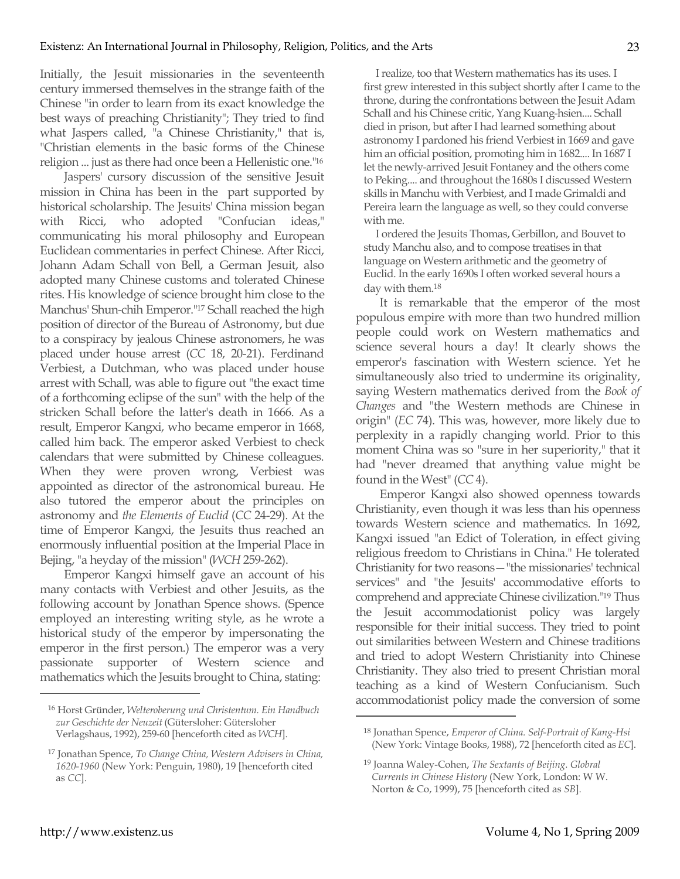Initially, the Jesuit missionaries in the seventeenth century immersed themselves in the strange faith of the Chinese "in order to learn from its exact knowledge the best ways of preaching Christianity"; They tried to find what Jaspers called, "a Chinese Christianity," that is, "Christian elements in the basic forms of the Chinese religion ... just as there had once been a Hellenistic one."16

Jaspers' cursory discussion of the sensitive Jesuit mission in China has been in the part supported by historical scholarship. The Jesuits' China mission began with Ricci, who adopted "Confucian ideas," communicating his moral philosophy and European Euclidean commentaries in perfect Chinese. After Ricci, Johann Adam Schall von Bell, a German Jesuit, also adopted many Chinese customs and tolerated Chinese rites. His knowledge of science brought him close to the Manchus' Shun-chih Emperor."17 Schall reached the high position of director of the Bureau of Astronomy, but due to a conspiracy by jealous Chinese astronomers, he was placed under house arrest (*CC* 18, 20-21). Ferdinand Verbiest, a Dutchman, who was placed under house arrest with Schall, was able to figure out "the exact time of a forthcoming eclipse of the sun" with the help of the stricken Schall before the latter's death in 1666. As a result, Emperor Kangxi, who became emperor in 1668, called him back. The emperor asked Verbiest to check calendars that were submitted by Chinese colleagues. When they were proven wrong, Verbiest was appointed as director of the astronomical bureau. He also tutored the emperor about the principles on astronomy and *the Elements of Euclid* (*CC* 24-29). At the time of Emperor Kangxi, the Jesuits thus reached an enormously influential position at the Imperial Place in Bejing, "a heyday of the mission" (*WCH* 259-262).

Emperor Kangxi himself gave an account of his many contacts with Verbiest and other Jesuits, as the following account by Jonathan Spence shows. (Spence employed an interesting writing style, as he wrote a historical study of the emperor by impersonating the emperor in the first person.) The emperor was a very passionate supporter of Western science and mathematics which the Jesuits brought to China, stating:

I realize, too that Western mathematics has its uses. I first grew interested in this subject shortly after I came to the throne, during the confrontations between the Jesuit Adam Schall and his Chinese critic, Yang Kuang-hsien.... Schall died in prison, but after I had learned something about astronomy I pardoned his friend Verbiest in 1669 and gave him an official position, promoting him in 1682.... In 1687 I let the newly-arrived Jesuit Fontaney and the others come to Peking.... and throughout the 1680s I discussed Western skills in Manchu with Verbiest, and I made Grimaldi and Pereira learn the language as well, so they could converse with me.

I ordered the Jesuits Thomas, Gerbillon, and Bouvet to study Manchu also, and to compose treatises in that language on Western arithmetic and the geometry of Euclid. In the early 1690s I often worked several hours a day with them.18

It is remarkable that the emperor of the most populous empire with more than two hundred million people could work on Western mathematics and science several hours a day! It clearly shows the emperor's fascination with Western science. Yet he simultaneously also tried to undermine its originality, saying Western mathematics derived from the *Book of Changes* and "the Western methods are Chinese in origin" (*EC* 74). This was, however, more likely due to perplexity in a rapidly changing world. Prior to this moment China was so "sure in her superiority," that it had "never dreamed that anything value might be found in the West" (*CC* 4).

Emperor Kangxi also showed openness towards Christianity, even though it was less than his openness towards Western science and mathematics. In 1692, Kangxi issued "an Edict of Toleration, in effect giving religious freedom to Christians in China." He tolerated Christianity for two reasons—"the missionaries' technical services" and "the Jesuits' accommodative efforts to comprehend and appreciate Chinese civilization."19 Thus the Jesuit accommodationist policy was largely responsible for their initial success. They tried to point out similarities between Western and Chinese traditions and tried to adopt Western Christianity into Chinese Christianity. They also tried to present Christian moral teaching as a kind of Western Confucianism. Such accommodationist policy made the conversion of some

 $\overline{a}$ 

<sup>16</sup> Horst Gründer, *Welteroberung und Christentum. Ein Handbuch zur Geschichte der Neuzeit* (Gütersloher: Gütersloher Verlagshaus, 1992), 259-60 [henceforth cited as *WCH*].

<sup>17</sup> Jonathan Spence, *To Change China, Western Advisers in China, 1620-1960* (New York: Penguin, 1980), 19 [henceforth cited as *CC*].

<sup>18</sup> Jonathan Spence, *Emperor of China. Self-Portrait of Kang-Hsi*  (New York: Vintage Books, 1988), 72 [henceforth cited as *EC*].

<sup>19</sup> Joanna Waley-Cohen, *The Sextants of Beijing. Globral Currents in Chinese History* (New York, London: W W. Norton & Co, 1999), 75 [henceforth cited as *SB*].